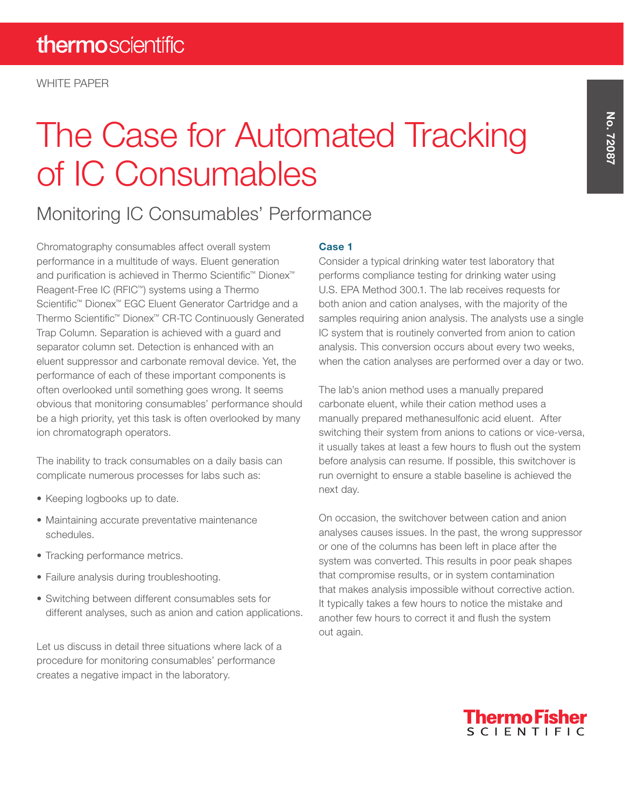# The Case for Automated Tracking of IC Consumables

## Monitoring IC Consumables' Performance

Chromatography consumables affect overall system performance in a multitude of ways. Eluent generation and purification is achieved in Thermo Scientific™ Dionex™ Reagent-Free IC (RFIC™) systems using a Thermo Scientific™ Dionex™ EGC Eluent Generator Cartridge and a Thermo Scientific™ Dionex™ CR-TC Continuously Generated Trap Column. Separation is achieved with a guard and separator column set. Detection is enhanced with an eluent suppressor and carbonate removal device. Yet, the performance of each of these important components is often overlooked until something goes wrong. It seems obvious that monitoring consumables' performance should be a high priority, yet this task is often overlooked by many ion chromatograph operators.

The inability to track consumables on a daily basis can complicate numerous processes for labs such as:

- Keeping logbooks up to date.
- Maintaining accurate preventative maintenance schedules.
- Tracking performance metrics.
- Failure analysis during troubleshooting.
- Switching between different consumables sets for different analyses, such as anion and cation applications.

Let us discuss in detail three situations where lack of a procedure for monitoring consumables' performance creates a negative impact in the laboratory.

#### Case 1

Consider a typical drinking water test laboratory that performs compliance testing for drinking water using U.S. EPA Method 300.1. The lab receives requests for both anion and cation analyses, with the majority of the samples requiring anion analysis. The analysts use a single IC system that is routinely converted from anion to cation analysis. This conversion occurs about every two weeks, when the cation analyses are performed over a day or two.

The lab's anion method uses a manually prepared carbonate eluent, while their cation method uses a manually prepared methanesulfonic acid eluent. After switching their system from anions to cations or vice-versa, it usually takes at least a few hours to flush out the system before analysis can resume. If possible, this switchover is run overnight to ensure a stable baseline is achieved the next day.

On occasion, the switchover between cation and anion analyses causes issues. In the past, the wrong suppressor or one of the columns has been left in place after the system was converted. This results in poor peak shapes that compromise results, or in system contamination that makes analysis impossible without corrective action. It typically takes a few hours to notice the mistake and another few hours to correct it and flush the system out again.

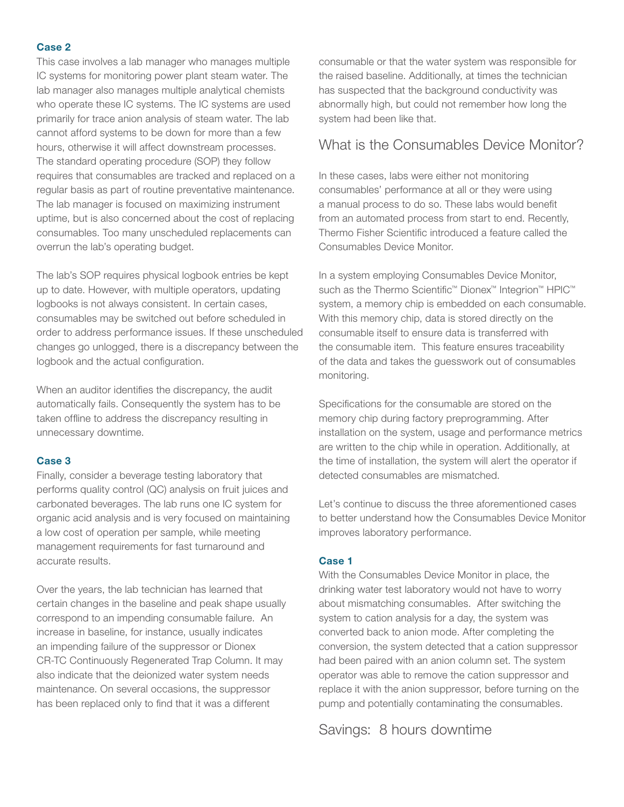#### Case 2

This case involves a lab manager who manages multiple IC systems for monitoring power plant steam water. The lab manager also manages multiple analytical chemists who operate these IC systems. The IC systems are used primarily for trace anion analysis of steam water. The lab cannot afford systems to be down for more than a few hours, otherwise it will affect downstream processes. The standard operating procedure (SOP) they follow requires that consumables are tracked and replaced on a regular basis as part of routine preventative maintenance. The lab manager is focused on maximizing instrument uptime, but is also concerned about the cost of replacing consumables. Too many unscheduled replacements can overrun the lab's operating budget.

The lab's SOP requires physical logbook entries be kept up to date. However, with multiple operators, updating logbooks is not always consistent. In certain cases, consumables may be switched out before scheduled in order to address performance issues. If these unscheduled changes go unlogged, there is a discrepancy between the logbook and the actual configuration.

When an auditor identifies the discrepancy, the audit automatically fails. Consequently the system has to be taken offline to address the discrepancy resulting in unnecessary downtime.

#### Case 3

Finally, consider a beverage testing laboratory that performs quality control (QC) analysis on fruit juices and carbonated beverages. The lab runs one IC system for organic acid analysis and is very focused on maintaining a low cost of operation per sample, while meeting management requirements for fast turnaround and accurate results.

Over the years, the lab technician has learned that certain changes in the baseline and peak shape usually correspond to an impending consumable failure. An increase in baseline, for instance, usually indicates an impending failure of the suppressor or Dionex CR-TC Continuously Regenerated Trap Column. It may also indicate that the deionized water system needs maintenance. On several occasions, the suppressor has been replaced only to find that it was a different

consumable or that the water system was responsible for the raised baseline. Additionally, at times the technician has suspected that the background conductivity was abnormally high, but could not remember how long the system had been like that.

### What is the Consumables Device Monitor?

In these cases, labs were either not monitoring consumables' performance at all or they were using a manual process to do so. These labs would benefit from an automated process from start to end. Recently, Thermo Fisher Scientific introduced a feature called the Consumables Device Monitor.

In a system employing Consumables Device Monitor, such as the Thermo Scientific<sup>™</sup> Dionex<sup>™</sup> Integrion<sup>™</sup> HPIC<sup>™</sup> system, a memory chip is embedded on each consumable. With this memory chip, data is stored directly on the consumable itself to ensure data is transferred with the consumable item. This feature ensures traceability of the data and takes the guesswork out of consumables monitoring.

Specifications for the consumable are stored on the memory chip during factory preprogramming. After installation on the system, usage and performance metrics are written to the chip while in operation. Additionally, at the time of installation, the system will alert the operator if detected consumables are mismatched.

Let's continue to discuss the three aforementioned cases to better understand how the Consumables Device Monitor improves laboratory performance.

#### Case 1

With the Consumables Device Monitor in place, the drinking water test laboratory would not have to worry about mismatching consumables. After switching the system to cation analysis for a day, the system was converted back to anion mode. After completing the conversion, the system detected that a cation suppressor had been paired with an anion column set. The system operator was able to remove the cation suppressor and replace it with the anion suppressor, before turning on the pump and potentially contaminating the consumables.

Savings: 8 hours downtime